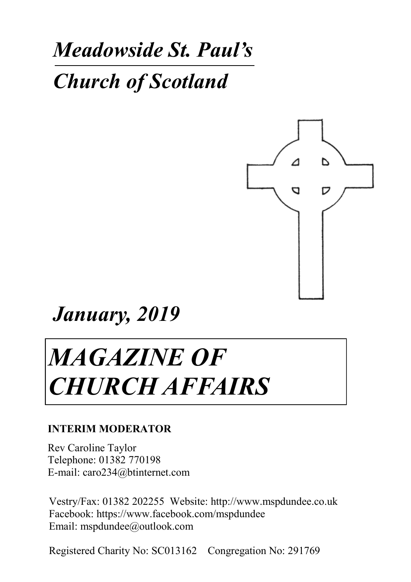## *Meadowside St. Paul's*

### *Church of Scotland*



*January, 2019*

# *MAGAZINE OF CHURCH AFFAIRS*

#### **INTERIM MODERATOR**

Rev Caroline Taylor Telephone: 01382 770198 E-mail: caro234@btinternet.com

Vestry/Fax: 01382 202255 Website: http://www.mspdundee.co.uk Facebook: https://www.facebook.com/mspdundee Email: mspdundee@outlook.com

Registered Charity No: SC013162 Congregation No: 291769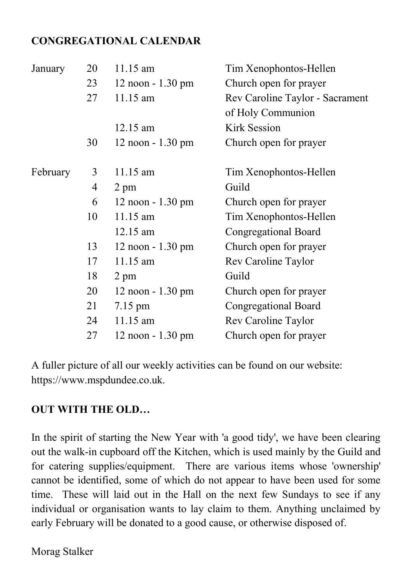#### **CONGREGATIONAL CALENDAR**

| 20 | $11.15$ am            | Tim Xenophontos-Hellen          |
|----|-----------------------|---------------------------------|
| 23 | $12$ noon $- 1.30$ pm | Church open for prayer          |
| 27 | 11.15 am              | Rev Caroline Taylor - Sacrament |
|    |                       | of Holy Communion               |
|    | $12.15$ am            | Kirk Session                    |
| 30 | $12$ noon $-1.30$ pm  | Church open for prayer          |
| 3  | 11.15 am              | Tim Xenophontos-Hellen          |
| 4  | 2 pm                  | Guild                           |
| 6  | $12$ noon $-1.30$ pm  | Church open for prayer          |
| 10 | 11.15 am              | Tim Xenophontos-Hellen          |
|    | 12.15 am              | Congregational Board            |
| 13 | $12$ noon $-1.30$ pm  | Church open for prayer          |
| 17 | $11.15$ am            | Rev Caroline Taylor             |
| 18 | 2 pm                  | Guild                           |
| 20 | $12$ noon $-1.30$ pm  | Church open for prayer          |
| 21 | 7.15 pm               | Congregational Board            |
| 24 | 11.15 am              | Rev Caroline Taylor             |
| 27 | 12 noon - 1.30 pm     | Church open for prayer          |
|    |                       |                                 |

A fuller picture of all our weekly activities can be found on our website: https://www.mspdundee.co.uk.

#### **OUT WITH THE OLD…**

In the spirit of starting the New Year with 'a good tidy', we have been clearing out the walk-in cupboard off the Kitchen, which is used mainly by the Guild and for catering supplies/equipment. There are various items whose 'ownership' cannot be identified, some of which do not appear to have been used for some time. These will laid out in the Hall on the next few Sundays to see if any individual or organisation wants to lay claim to them. Anything unclaimed by early February will be donated to a good cause, or otherwise disposed of.

Morag Stalker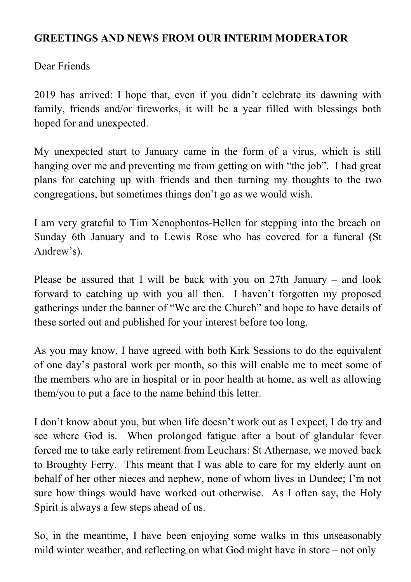#### **GREETINGS AND NEWS FROM OUR INTERIM MODERATOR**

Dear Friends

2019 has arrived: I hope that, even if you didn't celebrate its dawning with family, friends and/or fireworks, it will be a year filled with blessings both hoped for and unexpected.

My unexpected start to January came in the form of a virus, which is still hanging over me and preventing me from getting on with "the job". I had great plans for catching up with friends and then turning my thoughts to the two congregations, but sometimes things don't go as we would wish.

I am very grateful to Tim Xenophontos-Hellen for stepping into the breach on Sunday 6th January and to Lewis Rose who has covered for a funeral (St Andrew's).

Please be assured that I will be back with you on 27th January – and look forward to catching up with you all then. I haven't forgotten my proposed gatherings under the banner of "We are the Church" and hope to have details of these sorted out and published for your interest before too long.

As you may know, I have agreed with both Kirk Sessions to do the equivalent of one day's pastoral work per month, so this will enable me to meet some of the members who are in hospital or in poor health at home, as well as allowing them/you to put a face to the name behind this letter.

I don't know about you, but when life doesn't work out as I expect, I do try and see where God is. When prolonged fatigue after a bout of glandular fever forced me to take early retirement from Leuchars: St Athernase, we moved back to Broughty Ferry. This meant that I was able to care for my elderly aunt on behalf of her other nieces and nephew, none of whom lives in Dundee; I'm not sure how things would have worked out otherwise. As I often say, the Holy Spirit is always a few steps ahead of us.

So, in the meantime, I have been enjoying some walks in this unseasonably mild winter weather, and reflecting on what God might have in store – not only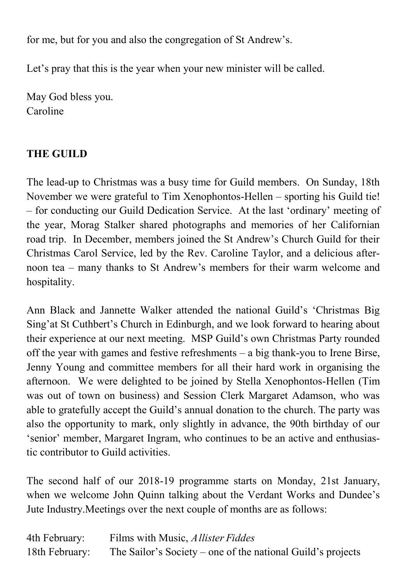for me, but for you and also the congregation of St Andrew's.

Let's pray that this is the year when your new minister will be called.

May God bless you. Caroline

#### **THE GUILD**

The lead-up to Christmas was a busy time for Guild members. On Sunday, 18th November we were grateful to Tim Xenophontos-Hellen – sporting his Guild tie! – for conducting our Guild Dedication Service. At the last 'ordinary' meeting of the year, Morag Stalker shared photographs and memories of her Californian road trip. In December, members joined the St Andrew's Church Guild for their Christmas Carol Service, led by the Rev. Caroline Taylor, and a delicious afternoon tea – many thanks to St Andrew's members for their warm welcome and hospitality.

Ann Black and Jannette Walker attended the national Guild's 'Christmas Big Sing'at St Cuthbert's Church in Edinburgh, and we look forward to hearing about their experience at our next meeting. MSP Guild's own Christmas Party rounded off the year with games and festive refreshments – a big thank-you to Irene Birse, Jenny Young and committee members for all their hard work in organising the afternoon. We were delighted to be joined by Stella Xenophontos-Hellen (Tim was out of town on business) and Session Clerk Margaret Adamson, who was able to gratefully accept the Guild's annual donation to the church. The party was also the opportunity to mark, only slightly in advance, the 90th birthday of our 'senior' member, Margaret Ingram, who continues to be an active and enthusiastic contributor to Guild activities.

The second half of our 2018-19 programme starts on Monday, 21st January, when we welcome John Quinn talking about the Verdant Works and Dundee's Jute Industry.Meetings over the next couple of months are as follows:

| 4th February:  | Films with Music, <i>Allister Fiddes</i>                    |
|----------------|-------------------------------------------------------------|
| 18th February: | The Sailor's Society – one of the national Guild's projects |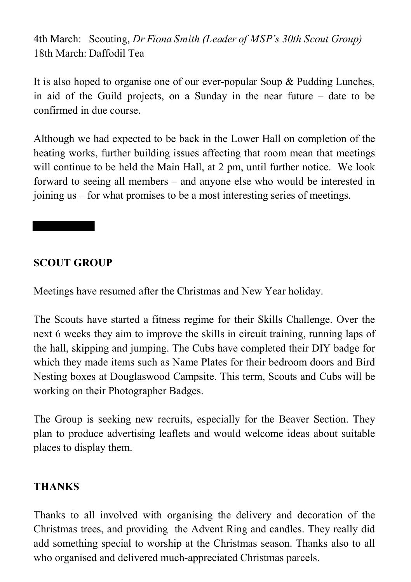4th March: Scouting, *Dr Fiona Smith (Leader of MSP's 30th Scout Group)* 18th March: Daffodil Tea

It is also hoped to organise one of our ever-popular Soup & Pudding Lunches, in aid of the Guild projects, on a Sunday in the near future – date to be confirmed in due course.

Although we had expected to be back in the Lower Hall on completion of the heating works, further building issues affecting that room mean that meetings will continue to be held the Main Hall, at 2 pm, until further notice. We look forward to seeing all members – and anyone else who would be interested in joining us – for what promises to be a most interesting series of meetings.

#### **SCOUT GROUP**

Meetings have resumed after the Christmas and New Year holiday.

The Scouts have started a fitness regime for their Skills Challenge. Over the next 6 weeks they aim to improve the skills in circuit training, running laps of the hall, skipping and jumping. The Cubs have completed their DIY badge for which they made items such as Name Plates for their bedroom doors and Bird Nesting boxes at Douglaswood Campsite. This term, Scouts and Cubs will be working on their Photographer Badges.

The Group is seeking new recruits, especially for the Beaver Section. They plan to produce advertising leaflets and would welcome ideas about suitable places to display them.

#### **THANKS**

Thanks to all involved with organising the delivery and decoration of the Christmas trees, and providing the Advent Ring and candles. They really did add something special to worship at the Christmas season. Thanks also to all who organised and delivered much-appreciated Christmas parcels.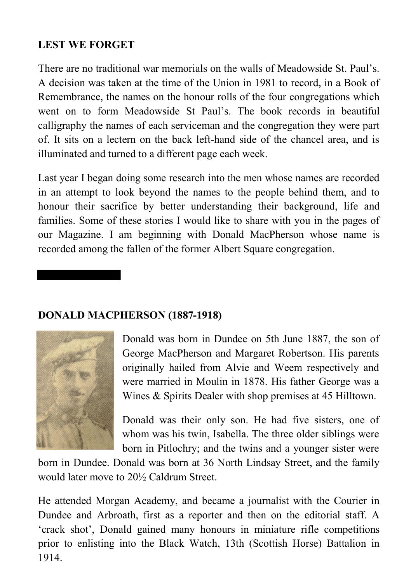#### **LEST WE FORGET**

There are no traditional war memorials on the walls of Meadowside St. Paul's. A decision was taken at the time of the Union in 1981 to record, in a Book of Remembrance, the names on the honour rolls of the four congregations which went on to form Meadowside St Paul's. The book records in beautiful calligraphy the names of each serviceman and the congregation they were part of. It sits on a lectern on the back left-hand side of the chancel area, and is illuminated and turned to a different page each week.

Last year I began doing some research into the men whose names are recorded in an attempt to look beyond the names to the people behind them, and to honour their sacrifice by better understanding their background, life and families. Some of these stories I would like to share with you in the pages of our Magazine. I am beginning with Donald MacPherson whose name is recorded among the fallen of the former Albert Square congregation.

#### **DONALD MACPHERSON (1887-1918)**



Donald was born in Dundee on 5th June 1887, the son of George MacPherson and Margaret Robertson. His parents originally hailed from Alvie and Weem respectively and were married in Moulin in 1878. His father George was a Wines & Spirits Dealer with shop premises at 45 Hilltown.

Donald was their only son. He had five sisters, one of whom was his twin, Isabella. The three older siblings were born in Pitlochry; and the twins and a younger sister were

born in Dundee. Donald was born at 36 North Lindsay Street, and the family would later move to 20½ Caldrum Street.

He attended Morgan Academy, and became a journalist with the Courier in Dundee and Arbroath, first as a reporter and then on the editorial staff. A 'crack shot', Donald gained many honours in miniature rifle competitions prior to enlisting into the Black Watch, 13th (Scottish Horse) Battalion in 1914.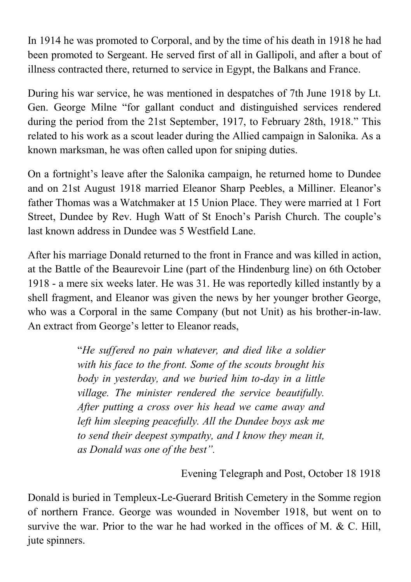In 1914 he was promoted to Corporal, and by the time of his death in 1918 he had been promoted to Sergeant. He served first of all in Gallipoli, and after a bout of illness contracted there, returned to service in Egypt, the Balkans and France.

During his war service, he was mentioned in despatches of 7th June 1918 by Lt. Gen. George Milne "for gallant conduct and distinguished services rendered during the period from the 21st September, 1917, to February 28th, 1918." This related to his work as a scout leader during the Allied campaign in Salonika. As a known marksman, he was often called upon for sniping duties.

On a fortnight's leave after the Salonika campaign, he returned home to Dundee and on 21st August 1918 married Eleanor Sharp Peebles, a Milliner. Eleanor's father Thomas was a Watchmaker at 15 Union Place. They were married at 1 Fort Street, Dundee by Rev. Hugh Watt of St Enoch's Parish Church. The couple's last known address in Dundee was 5 Westfield Lane.

After his marriage Donald returned to the front in France and was killed in action, at the Battle of the Beaurevoir Line (part of the Hindenburg line) on 6th October 1918 - a mere six weeks later. He was 31. He was reportedly killed instantly by a shell fragment, and Eleanor was given the news by her younger brother George, who was a Corporal in the same Company (but not Unit) as his brother-in-law. An extract from George's letter to Eleanor reads,

> "*He suffered no pain whatever, and died like a soldier with his face to the front. Some of the scouts brought his body in yesterday, and we buried him to-day in a little village. The minister rendered the service beautifully. After putting a cross over his head we came away and left him sleeping peacefully. All the Dundee boys ask me to send their deepest sympathy, and I know they mean it, as Donald was one of the best".*

> > Evening Telegraph and Post, October 18 1918

Donald is buried in Templeux-Le-Guerard British Cemetery in the Somme region of northern France. George was wounded in November 1918, but went on to survive the war. Prior to the war he had worked in the offices of M. & C. Hill, jute spinners.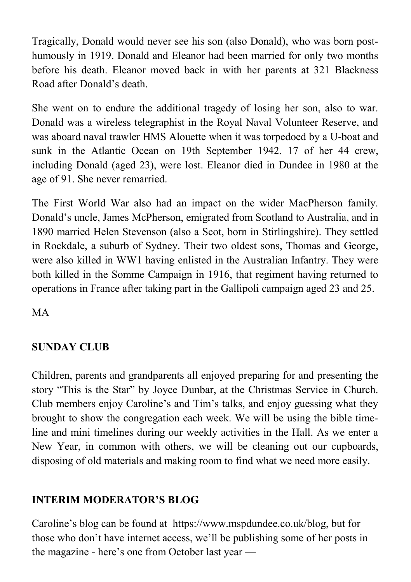Tragically, Donald would never see his son (also Donald), who was born posthumously in 1919. Donald and Eleanor had been married for only two months before his death. Eleanor moved back in with her parents at 321 Blackness Road after Donald's death.

She went on to endure the additional tragedy of losing her son, also to war. Donald was a wireless telegraphist in the Royal Naval Volunteer Reserve, and was aboard naval trawler HMS Alouette when it was torpedoed by a U-boat and sunk in the Atlantic Ocean on 19th September 1942. 17 of her 44 crew, including Donald (aged 23), were lost. Eleanor died in Dundee in 1980 at the age of 91. She never remarried.

The First World War also had an impact on the wider MacPherson family. Donald's uncle, James McPherson, emigrated from Scotland to Australia, and in 1890 married Helen Stevenson (also a Scot, born in Stirlingshire). They settled in Rockdale, a suburb of Sydney. Their two oldest sons, Thomas and George, were also killed in WW1 having enlisted in the Australian Infantry. They were both killed in the Somme Campaign in 1916, that regiment having returned to operations in France after taking part in the Gallipoli campaign aged 23 and 25.

MA

#### **SUNDAY CLUB**

Children, parents and grandparents all enjoyed preparing for and presenting the story "This is the Star" by Joyce Dunbar, at the Christmas Service in Church. Club members enjoy Caroline's and Tim's talks, and enjoy guessing what they brought to show the congregation each week. We will be using the bible timeline and mini timelines during our weekly activities in the Hall. As we enter a New Year, in common with others, we will be cleaning out our cupboards, disposing of old materials and making room to find what we need more easily.

#### **INTERIM MODERATOR'S BLOG**

Caroline's blog can be found at https://www.mspdundee.co.uk/blog, but for those who don't have internet access, we'll be publishing some of her posts in the magazine - here's one from October last year —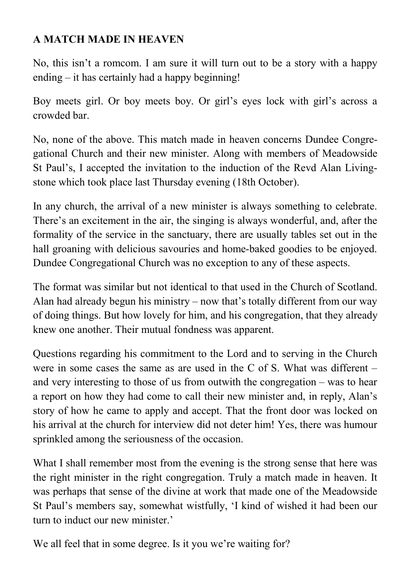#### **A MATCH MADE IN HEAVEN**

No, this isn't a romcom. I am sure it will turn out to be a story with a happy ending – it has certainly had a happy beginning!

Boy meets girl. Or boy meets boy. Or girl's eyes lock with girl's across a crowded bar.

No, none of the above. This match made in heaven concerns Dundee Congregational Church and their new minister. Along with members of Meadowside St Paul's, I accepted the invitation to the induction of the Revd Alan Livingstone which took place last Thursday evening (18th October).

In any church, the arrival of a new minister is always something to celebrate. There's an excitement in the air, the singing is always wonderful, and, after the formality of the service in the sanctuary, there are usually tables set out in the hall groaning with delicious savouries and home-baked goodies to be enjoyed. Dundee Congregational Church was no exception to any of these aspects.

The format was similar but not identical to that used in the Church of Scotland. Alan had already begun his ministry – now that's totally different from our way of doing things. But how lovely for him, and his congregation, that they already knew one another. Their mutual fondness was apparent.

Questions regarding his commitment to the Lord and to serving in the Church were in some cases the same as are used in the C of S. What was different – and very interesting to those of us from outwith the congregation – was to hear a report on how they had come to call their new minister and, in reply, Alan's story of how he came to apply and accept. That the front door was locked on his arrival at the church for interview did not deter him! Yes, there was humour sprinkled among the seriousness of the occasion.

What I shall remember most from the evening is the strong sense that here was the right minister in the right congregation. Truly a match made in heaven. It was perhaps that sense of the divine at work that made one of the Meadowside St Paul's members say, somewhat wistfully, 'I kind of wished it had been our turn to induct our new minister.'

We all feel that in some degree. Is it you we're waiting for?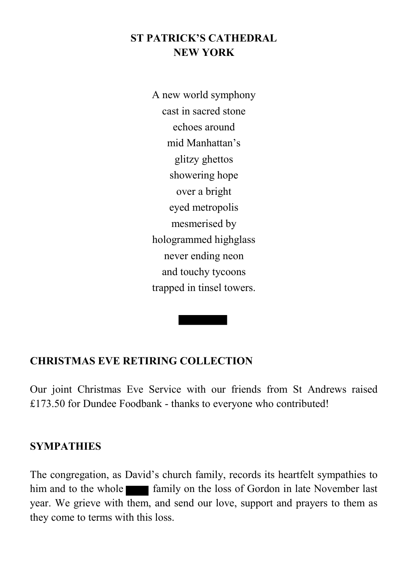#### **ST PATRICK'S CATHEDRAL NEW YORK**

A new world symphony cast in sacred stone echoes around mid Manhattan's glitzy ghettos showering hope over a bright eyed metropolis mesmerised by hologrammed highglass never ending neon and touchy tycoons trapped in tinsel towers.

#### **CHRISTMAS EVE RETIRING COLLECTION**

Our joint Christmas Eve Service with our friends from St Andrews raised £173.50 for Dundee Foodbank - thanks to everyone who contributed!

#### **SYMPATHIES**

The congregation, as David's church family, records its heartfelt sympathies to him and to the whole **family** on the loss of Gordon in late November last year. We grieve with them, and send our love, support and prayers to them as they come to terms with this loss.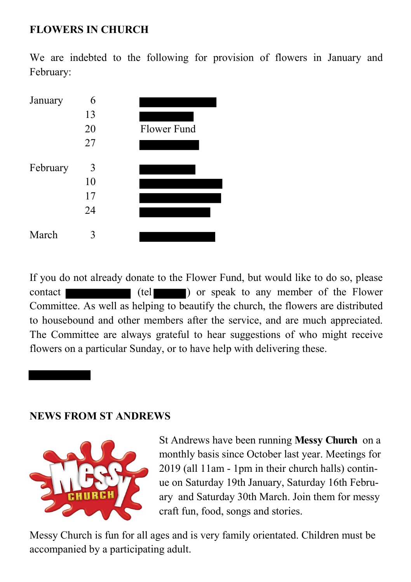#### **FLOWERS IN CHURCH**

We are indebted to the following for provision of flowers in January and February:



If you do not already donate to the Flower Fund, but would like to do so, please contact (tel ) or speak to any member of the Flower Committee. As well as helping to beautify the church, the flowers are distributed to housebound and other members after the service, and are much appreciated. The Committee are always grateful to hear suggestions of who might receive flowers on a particular Sunday, or to have help with delivering these.

#### **NEWS FROM ST ANDREWS**



St Andrews have been running **Messy Church** on a monthly basis since October last year. Meetings for 2019 (all 11am - 1pm in their church halls) continue on Saturday 19th January, Saturday 16th February and Saturday 30th March. Join them for messy craft fun, food, songs and stories.

Messy Church is fun for all ages and is very family orientated. Children must be accompanied by a participating adult.